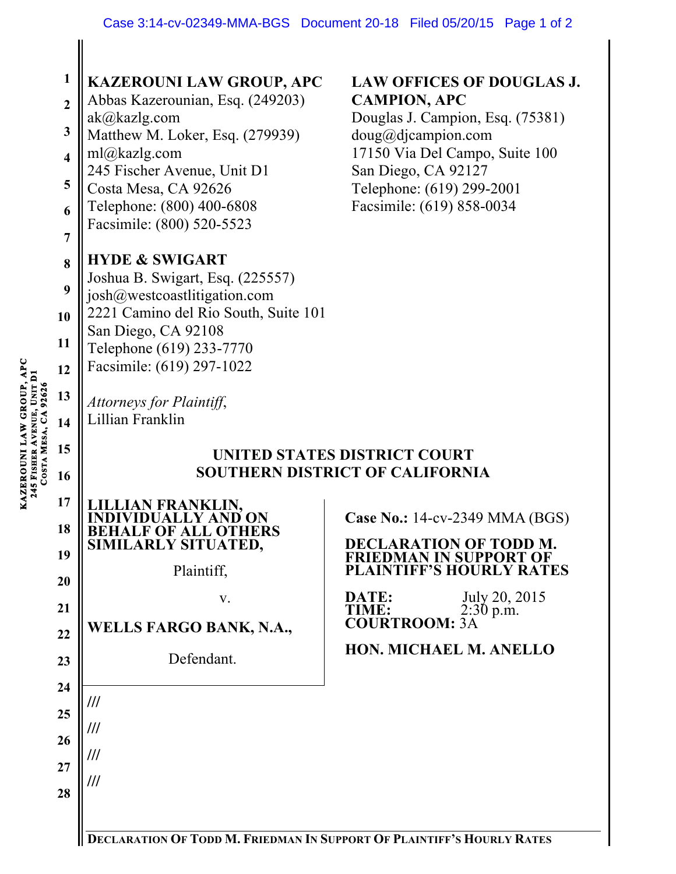| <b>COSTA MESA, CA 92626</b> | $\mathbf{1}$<br>$\boldsymbol{2}$<br>3<br>$\overline{\mathbf{4}}$<br>5<br>6<br>$\overline{7}$<br>8<br>9<br>10<br><b>11</b><br>12<br>13<br>14 | <b>KAZEROUNI LAW GROUP, APC</b><br>Abbas Kazerounian, Esq. (249203)<br>ak@kazlg.com<br>Matthew M. Loker, Esq. (279939)<br>ml@kazlg.com<br>245 Fischer Avenue, Unit D1<br>Costa Mesa, CA 92626<br>Telephone: (800) 400-6808<br>Facsimile: (800) 520-5523<br><b>HYDE &amp; SWIGART</b><br>Joshua B. Swigart, Esq. (225557)<br>josh@westcoastlitigation.com<br>2221 Camino del Rio South, Suite 101<br>San Diego, CA 92108<br>Telephone (619) 233-7770<br>Facsimile: (619) 297-1022<br>Attorneys for Plaintiff,<br>Lillian Franklin | <b>LAW OFFICES OF DOUGLAS.</b><br><b>CAMPION, APC</b><br>Douglas J. Campion, Esq. (75381)<br>doug@djaampion.com<br>17150 Via Del Campo, Suite 100<br>San Diego, CA 92127<br>Telephone: (619) 299-2001<br>Facsimile: (619) 858-0034 |  |
|-----------------------------|---------------------------------------------------------------------------------------------------------------------------------------------|----------------------------------------------------------------------------------------------------------------------------------------------------------------------------------------------------------------------------------------------------------------------------------------------------------------------------------------------------------------------------------------------------------------------------------------------------------------------------------------------------------------------------------|------------------------------------------------------------------------------------------------------------------------------------------------------------------------------------------------------------------------------------|--|
|                             | 15<br>16                                                                                                                                    | UNITED STATES DISTRICT COURT<br><b>SOUTHERN DISTRICT OF CALIFORNIA</b>                                                                                                                                                                                                                                                                                                                                                                                                                                                           |                                                                                                                                                                                                                                    |  |
|                             | 17<br>18<br>19<br>20<br>21<br>22<br>23<br>24<br>25<br>26<br>27<br>28                                                                        | JLLIAN FRANKLIN,<br>SIMILARLY SITUATED,<br>Plaintiff,<br>V.<br><b>WELLS FARGO BANK, N.A.,</b><br>Defendant.<br>///<br>///<br>///<br>///                                                                                                                                                                                                                                                                                                                                                                                          | Case No.: 14-cv-2349 MMA (BGS)<br><b>DECLARATION OF TODD M.</b><br><b>FRIEDMAN IN SUPPORT OF</b><br><b>PLAINTIFF'S HOURLY RATES</b><br>July 20, 2015<br>DATE:<br>$2:30$ p.m.<br><b>COURTROOM:</b><br>HON. MICHAEL M. ANELLO        |  |
|                             |                                                                                                                                             | DECLARATION OF TODD M. FRIEDMAN IN SUPPORT OF PLAINTIFF'S HOURLY RATES                                                                                                                                                                                                                                                                                                                                                                                                                                                           |                                                                                                                                                                                                                                    |  |

KAZEROUNI LAW GROUP, APC<br>245 FISHER AVENUE, UNIT DI **KAZEROUNI LAW GROUP, APC AVENUE, UNIT D1 245 FISHER** 

 $\parallel$